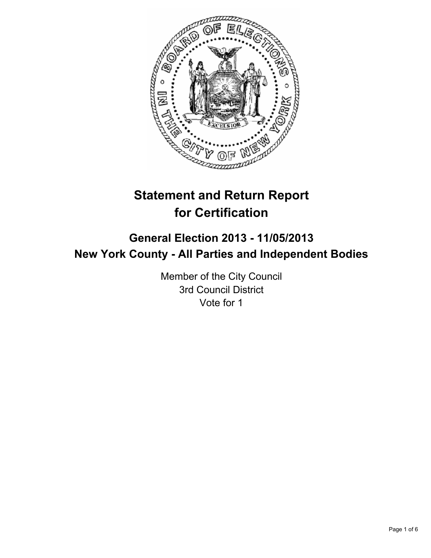

# **Statement and Return Report for Certification**

## **General Election 2013 - 11/05/2013 New York County - All Parties and Independent Bodies**

Member of the City Council 3rd Council District Vote for 1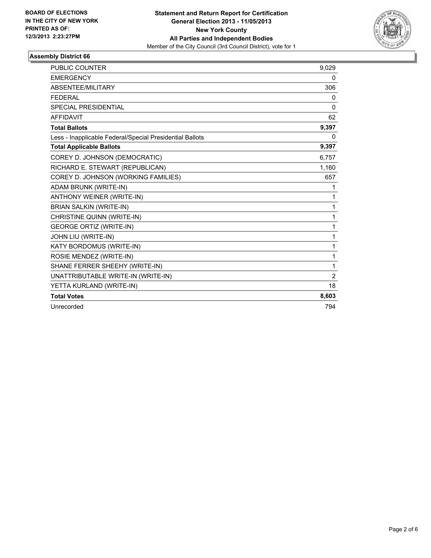

#### **Assembly District 66**

| <b>PUBLIC COUNTER</b>                                    | 9,029          |
|----------------------------------------------------------|----------------|
| <b>EMERGENCY</b>                                         | 0              |
| ABSENTEE/MILITARY                                        | 306            |
| <b>FEDERAL</b>                                           | 0              |
| <b>SPECIAL PRESIDENTIAL</b>                              | $\Omega$       |
| <b>AFFIDAVIT</b>                                         | 62             |
| <b>Total Ballots</b>                                     | 9,397          |
| Less - Inapplicable Federal/Special Presidential Ballots | 0              |
| <b>Total Applicable Ballots</b>                          | 9,397          |
| COREY D. JOHNSON (DEMOCRATIC)                            | 6,757          |
| RICHARD E. STEWART (REPUBLICAN)                          | 1,160          |
| COREY D. JOHNSON (WORKING FAMILIES)                      | 657            |
| ADAM BRUNK (WRITE-IN)                                    | 1              |
| <b>ANTHONY WEINER (WRITE-IN)</b>                         | 1              |
| <b>BRIAN SALKIN (WRITE-IN)</b>                           | 1              |
| CHRISTINE QUINN (WRITE-IN)                               | 1              |
| <b>GEORGE ORTIZ (WRITE-IN)</b>                           | 1              |
| JOHN LIU (WRITE-IN)                                      | 1              |
| KATY BORDOMUS (WRITE-IN)                                 | 1              |
| ROSIE MENDEZ (WRITE-IN)                                  | 1              |
| SHANE FERRER SHEEHY (WRITE-IN)                           | 1              |
| UNATTRIBUTABLE WRITE-IN (WRITE-IN)                       | $\overline{2}$ |
| YETTA KURLAND (WRITE-IN)                                 | 18             |
| <b>Total Votes</b>                                       | 8,603          |
| Unrecorded                                               | 794            |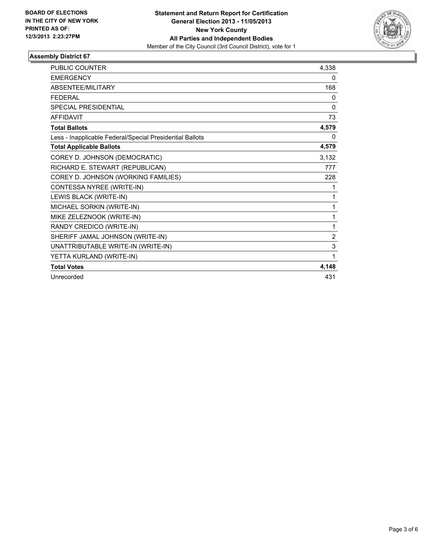

#### **Assembly District 67**

| <b>PUBLIC COUNTER</b>                                    | 4,338    |
|----------------------------------------------------------|----------|
| <b>EMERGENCY</b>                                         | 0        |
| ABSENTEE/MILITARY                                        | 168      |
| <b>FEDERAL</b>                                           | 0        |
| <b>SPECIAL PRESIDENTIAL</b>                              | $\Omega$ |
| <b>AFFIDAVIT</b>                                         | 73       |
| <b>Total Ballots</b>                                     | 4,579    |
| Less - Inapplicable Federal/Special Presidential Ballots | 0        |
| <b>Total Applicable Ballots</b>                          | 4,579    |
| COREY D. JOHNSON (DEMOCRATIC)                            | 3,132    |
| RICHARD E. STEWART (REPUBLICAN)                          | 777      |
| COREY D. JOHNSON (WORKING FAMILIES)                      | 228      |
| CONTESSA NYREE (WRITE-IN)                                | 1        |
| LEWIS BLACK (WRITE-IN)                                   | 1        |
| MICHAEL SORKIN (WRITE-IN)                                | 1        |
| MIKE ZELEZNOOK (WRITE-IN)                                | 1        |
| RANDY CREDICO (WRITE-IN)                                 | 1        |
| SHERIFF JAMAL JOHNSON (WRITE-IN)                         | 2        |
| UNATTRIBUTABLE WRITE-IN (WRITE-IN)                       | 3        |
| YETTA KURLAND (WRITE-IN)                                 | 1        |
| <b>Total Votes</b>                                       | 4,148    |
| Unrecorded                                               | 431      |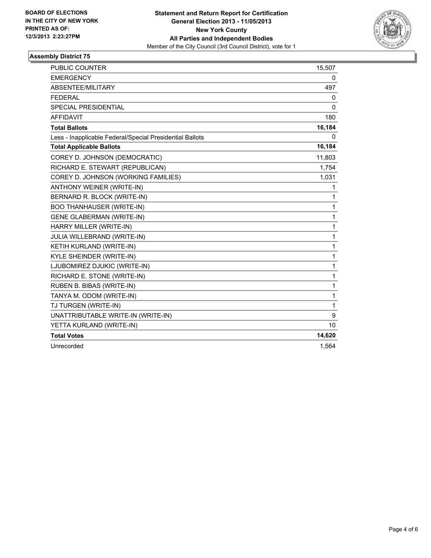

#### **Assembly District 75**

| <b>PUBLIC COUNTER</b>                                    | 15,507       |
|----------------------------------------------------------|--------------|
| <b>EMERGENCY</b>                                         | 0            |
| ABSENTEE/MILITARY                                        | 497          |
| <b>FEDERAL</b>                                           | 0            |
| <b>SPECIAL PRESIDENTIAL</b>                              | 0            |
| <b>AFFIDAVIT</b>                                         | 180          |
| <b>Total Ballots</b>                                     | 16,184       |
| Less - Inapplicable Federal/Special Presidential Ballots | 0            |
| <b>Total Applicable Ballots</b>                          | 16,184       |
| COREY D. JOHNSON (DEMOCRATIC)                            | 11,803       |
| RICHARD E. STEWART (REPUBLICAN)                          | 1,754        |
| COREY D. JOHNSON (WORKING FAMILIES)                      | 1,031        |
| ANTHONY WEINER (WRITE-IN)                                | 1            |
| BERNARD R. BLOCK (WRITE-IN)                              | 1            |
| <b>BOO THANHAUSER (WRITE-IN)</b>                         | 1            |
| <b>GENE GLABERMAN (WRITE-IN)</b>                         | $\mathbf{1}$ |
| HARRY MILLER (WRITE-IN)                                  | $\mathbf{1}$ |
| <b>JULIA WILLEBRAND (WRITE-IN)</b>                       | 1            |
| KETIH KURLAND (WRITE-IN)                                 | $\mathbf{1}$ |
| KYLE SHEINDER (WRITE-IN)                                 | $\mathbf{1}$ |
| LJUBOMIREZ DJUKIC (WRITE-IN)                             | 1            |
| RICHARD E. STONE (WRITE-IN)                              | 1            |
| RUBEN B. BIBAS (WRITE-IN)                                | 1            |
| TANYA M. ODOM (WRITE-IN)                                 | 1            |
| TJ TURGEN (WRITE-IN)                                     | $\mathbf{1}$ |
| UNATTRIBUTABLE WRITE-IN (WRITE-IN)                       | 9            |
| YETTA KURLAND (WRITE-IN)                                 | 10           |
| <b>Total Votes</b>                                       | 14,620       |
| Unrecorded                                               | 1,564        |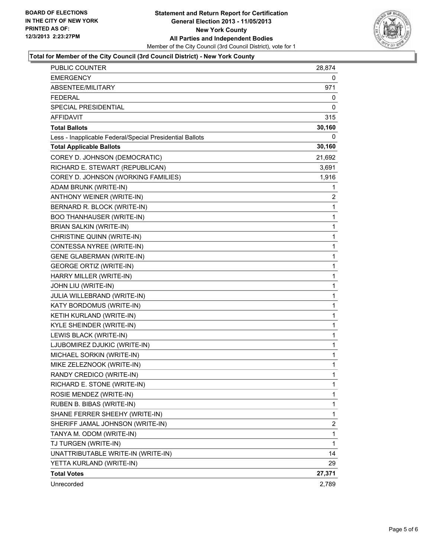

#### **Total for Member of the City Council (3rd Council District) - New York County**

| <b>PUBLIC COUNTER</b>                                    | 28,874       |
|----------------------------------------------------------|--------------|
| EMERGENCY                                                | 0            |
| ABSENTEE/MILITARY                                        | 971          |
| <b>FEDERAL</b>                                           | 0            |
| SPECIAL PRESIDENTIAL                                     | 0            |
| <b>AFFIDAVIT</b>                                         | 315          |
| <b>Total Ballots</b>                                     | 30,160       |
| Less - Inapplicable Federal/Special Presidential Ballots | 0            |
| <b>Total Applicable Ballots</b>                          | 30,160       |
| COREY D. JOHNSON (DEMOCRATIC)                            | 21,692       |
| RICHARD E. STEWART (REPUBLICAN)                          | 3,691        |
| COREY D. JOHNSON (WORKING FAMILIES)                      | 1,916        |
| ADAM BRUNK (WRITE-IN)                                    | 1            |
| ANTHONY WEINER (WRITE-IN)                                | 2            |
| BERNARD R. BLOCK (WRITE-IN)                              | 1            |
| <b>BOO THANHAUSER (WRITE-IN)</b>                         | 1            |
| <b>BRIAN SALKIN (WRITE-IN)</b>                           | $\mathbf{1}$ |
| CHRISTINE QUINN (WRITE-IN)                               | 1            |
| CONTESSA NYREE (WRITE-IN)                                | 1            |
| <b>GENE GLABERMAN (WRITE-IN)</b>                         | $\mathbf{1}$ |
| <b>GEORGE ORTIZ (WRITE-IN)</b>                           | 1            |
| HARRY MILLER (WRITE-IN)                                  | 1            |
| JOHN LIU (WRITE-IN)                                      | $\mathbf{1}$ |
| JULIA WILLEBRAND (WRITE-IN)                              | 1            |
| KATY BORDOMUS (WRITE-IN)                                 | 1            |
| KETIH KURLAND (WRITE-IN)                                 | $\mathbf{1}$ |
| KYLE SHEINDER (WRITE-IN)                                 | 1            |
| LEWIS BLACK (WRITE-IN)                                   | 1            |
| LJUBOMIREZ DJUKIC (WRITE-IN)                             | $\mathbf{1}$ |
| MICHAEL SORKIN (WRITE-IN)                                | 1            |
| MIKE ZELEZNOOK (WRITE-IN)                                | 1            |
| RANDY CREDICO (WRITE-IN)                                 | $\mathbf{1}$ |
| RICHARD E. STONE (WRITE-IN)                              | 1            |
| ROSIE MENDEZ (WRITE-IN)                                  | 1            |
| RUBEN B. BIBAS (WRITE-IN)                                | $\mathbf{1}$ |
| SHANE FERRER SHEEHY (WRITE-IN)                           | 1            |
| SHERIFF JAMAL JOHNSON (WRITE-IN)                         | 2            |
| TANYA M. ODOM (WRITE-IN)                                 | 1            |
| TJ TURGEN (WRITE-IN)                                     | 1            |
| UNATTRIBUTABLE WRITE-IN (WRITE-IN)                       | 14           |
| YETTA KURLAND (WRITE-IN)                                 | 29           |
| <b>Total Votes</b>                                       | 27,371       |
| Unrecorded                                               | 2,789        |